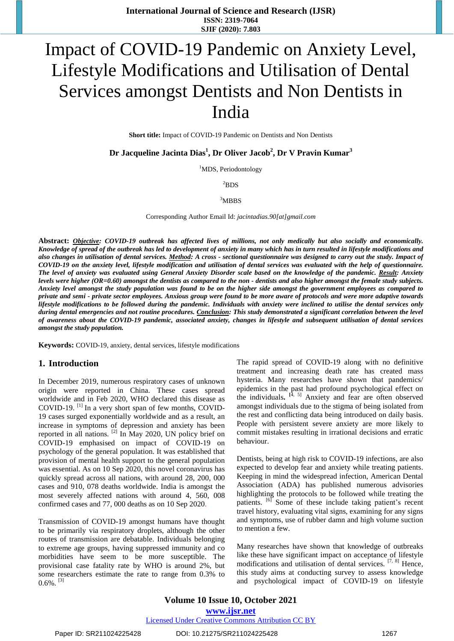# Impact of COVID-19 Pandemic on Anxiety Level, Lifestyle Modifications and Utilisation of Dental Services amongst Dentists and Non Dentists in India

**Short title:** Impact of COVID-19 Pandemic on Dentists and Non Dentists

**Dr Jacqueline Jacinta Dias<sup>1</sup> , Dr Oliver Jacob<sup>2</sup> , Dr V Pravin Kumar<sup>3</sup>**

<sup>1</sup>MDS, Periodontology

 ${}^{2}$ BDS

 $3\overline{\mathrm{MBBS}}$ 

Corresponding Author Email Id: *[jacintadias.90\[at\]gmail.com](mailto:jacintadias.90@gmail.com)*

Abstract: Objective: COVID-19 outbreak has affected lives of millions, not only medically but also socially and economically. Knowledge of spread of the outbreak has led to development of anxiety in many which has in turn resulted in lifestyle modifications and also changes in utilisation of dental services. Method: A cross - sectional questionnaire was designed to carry out the study. Impact of COVID-19 on the anxiety level, lifestyle modification and utilisation of dental services was evaluated with the help of questionnaire. The level of anxiety was evaluated using General Anxiety Disorder scale based on the knowledge of the pandemic. Result: Anxiety levels were higher (OR=0.60) amongst the dentists as compared to the non - dentists and also higher amongst the female study subjects. Anxiety level amongst the study population was found to be on the higher side amongst the government employees as compared to private and semi - private sector employees. Anxious group were found to be more aware of protocols and were more adaptive towards lifestyle modifications to be followed during the pandemic. Individuals with anxiety were inclined to utilise the dental services only during dental emergencies and not routine procedures. Conclusion: This study demonstrated a significant correlation between the level of awareness about the COVID-19 pandemic, associated anxiety, changes in lifestyle and subsequent utilisation of dental services *amongst the study population.* 

**Keywords:** COVID-19, anxiety, dental services, lifestyle modifications

#### **1. Introduction**

In December 2019, numerous respiratory cases of unknown origin were reported in China. These cases spread worldwide and in Feb 2020, WHO declared this disease as COVID-19. <sup>[1]</sup> In a very short span of few months, COVID-19 cases surged exponentially worldwide and as a result, an increase in symptoms of depression and anxiety has been reported in all nations.  $^{[2]}$  In May 2020, UN policy brief on COVID-19 emphasised on impact of COVID-19 on psychology of the general population. It was established that provision of mental health support to the general population was essential. As on 10 Sep 2020, this novel coronavirus has quickly spread across all nations, with around 28, 200, 000 cases and 910, 078 deaths worldwide. India is amongst the most severely affected nations with around 4, 560, 008 confirmed cases and 77, 000 deaths as on 10 Sep 2020.

Transmission of COVID-19 amongst humans have thought to be primarily via respiratory droplets, although the other routes of transmission are debatable. Individuals belonging to extreme age groups, having suppressed immunity and co morbidities have seem to be more susceptible. The provisional case fatality rate by WHO is around 2%, but some researchers estimate the rate to range from 0.3% to  $0.6\%$ .  $^{[3]}$ 

The rapid spread of COVID-19 along with no definitive treatment and increasing death rate has created mass hysteria. Many researches have shown that pandemics/ epidemics in the past had profound psychological effect on the individuals.  $[4, 5]$  Anxiety and fear are often observed amongst individuals due to the stigma of being isolated from the rest and conflicting data being introduced on daily basis. People with persistent severe anxiety are more likely to commit mistakes resulting in irrational decisions and erratic behaviour.

Dentists, being at high risk to COVID-19 infections, are also expected to develop fear and anxiety while treating patients. Keeping in mind the widespread infection, American Dental Association (ADA) has published numerous advisories highlighting the protocols to be followed while treating the patients. <sup>[6]</sup> Some of these include taking patient's recent travel history, evaluating vital signs, examining for any signs and symptoms, use of rubber damn and high volume suction to mention a few.

Many researches have shown that knowledge of outbreaks like these have significant impact on acceptance of lifestyle modifications and utilisation of dental services. <sup>[7, 8]</sup> Hence, this study aims at conducting survey to assess knowledge and psychological impact of COVID-19 on lifestyle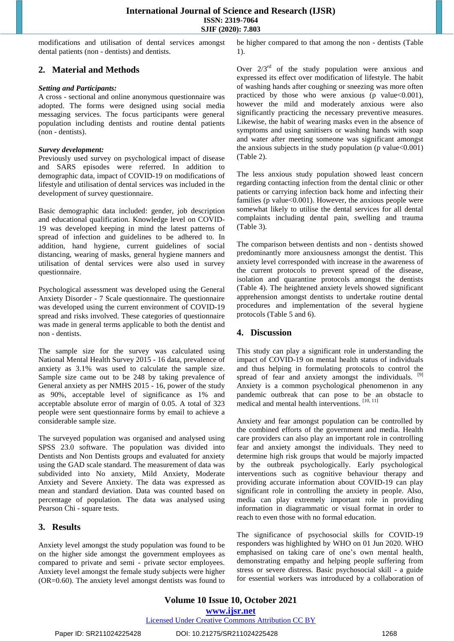modifications and utilisation of dental services amongst dental patients (non - dentists) and dentists.

# **2. Material and Methods**

#### *Setting and Participants:*

A cross - sectional and online anonymous questionnaire was adopted. The forms were designed using social media messaging services. The focus participants were general population including dentists and routine dental patients (non - dentists).

#### *Survey development:*

Previously used survey on psychological impact of disease and SARS episodes were referred. In addition to demographic data, impact of COVID-19 on modifications of lifestyle and utilisation of dental services was included in the development of survey questionnaire.

Basic demographic data included: gender, job description and educational qualification. Knowledge level on COVID-19 was developed keeping in mind the latest patterns of spread of infection and guidelines to be adhered to. In addition, hand hygiene, current guidelines of social distancing, wearing of masks, general hygiene manners and utilisation of dental services were also used in survey questionnaire.

Psychological assessment was developed using the General Anxiety Disorder - 7 Scale questionnaire. The questionnaire was developed using the current environment of COVID-19 spread and risks involved. These categories of questionnaire was made in general terms applicable to both the dentist and non - dentists.

The sample size for the survey was calculated using National Mental Health Survey 2015 - 16 data, prevalence of anxiety as 3.1% was used to calculate the sample size. Sample size came out to be 248 by taking prevalence of General anxiety as per NMHS 2015 - 16, power of the study as 90%, acceptable level of significance as 1% and acceptable absolute error of margin of 0.05. A total of 323 people were sent questionnaire forms by email to achieve a considerable sample size.

The surveyed population was organised and analysed using SPSS 23.0 software. The population was divided into Dentists and Non Dentists groups and evaluated for anxiety using the GAD scale standard. The measurement of data was subdivided into No anxiety, Mild Anxiety, Moderate Anxiety and Severe Anxiety. The data was expressed as mean and standard deviation. Data was counted based on percentage of population. The data was analysed using Pearson Chi - square tests.

# **3. Results**

Anxiety level amongst the study population was found to be on the higher side amongst the government employees as compared to private and semi - private sector employees. Anxiety level amongst the female study subjects were higher (OR=0.60). The anxiety level amongst dentists was found to be higher compared to that among the non - dentists (Table 1).

Over  $2/3<sup>rd</sup>$  of the study population were anxious and expressed its effect over modification of lifestyle. The habit of washing hands after coughing or sneezing was more often practiced by those who were anxious (p value<0.001), however the mild and moderately anxious were also significantly practicing the necessary preventive measures. Likewise, the habit of wearing masks even in the absence of symptoms and using sanitisers or washing hands with soap and water after meeting someone was significant amongst the anxious subjects in the study population (p value  $< 0.001$ ) (Table 2).

The less anxious study population showed least concern regarding contacting infection from the dental clinic or other patients or carrying infection back home and infecting their families (p value<0.001). However, the anxious people were somewhat likely to utilise the dental services for all dental complaints including dental pain, swelling and trauma (Table 3).

The comparison between dentists and non - dentists showed predominantly more anxiousness amongst the dentist. This anxiety level corresponded with increase in the awareness of the current protocols to prevent spread of the disease, isolation and quarantine protocols amongst the dentists (Table 4). The heightened anxiety levels showed significant apprehension amongst dentists to undertake routine dental procedures and implementation of the several hygiene protocols (Table 5 and 6).

# **4. Discussion**

This study can play a significant role in understanding the impact of COVID-19 on mental health status of individuals and thus helping in formulating protocols to control the spread of fear and anxiety amongst the individuals. <sup>[9]</sup> Anxiety is a common psychological phenomenon in any pandemic outbreak that can pose to be an obstacle to medical and mental health interventions. [10, 11]

Anxiety and fear amongst population can be controlled by the combined efforts of the government and media. Health care providers can also play an important role in controlling fear and anxiety amongst the individuals. They need to determine high risk groups that would be majorly impacted by the outbreak psychologically. Early psychological interventions such as cognitive behaviour therapy and providing accurate information about COVID-19 can play significant role in controlling the anxiety in people. Also, media can play extremely important role in providing information in diagrammatic or visual format in order to reach to even those with no formal education.

The significance of psychosocial skills for COVID-19 responders was highlighted by WHO on 01 Jun 2020. WHO emphasised on taking care of one's own mental health, demonstrating empathy and helping people suffering from stress or severe distress. Basic psychosocial skill - a guide for essential workers was introduced by a collaboration of

Paper ID: SR211024225428 DOI: 10.21275/SR211024225428 1268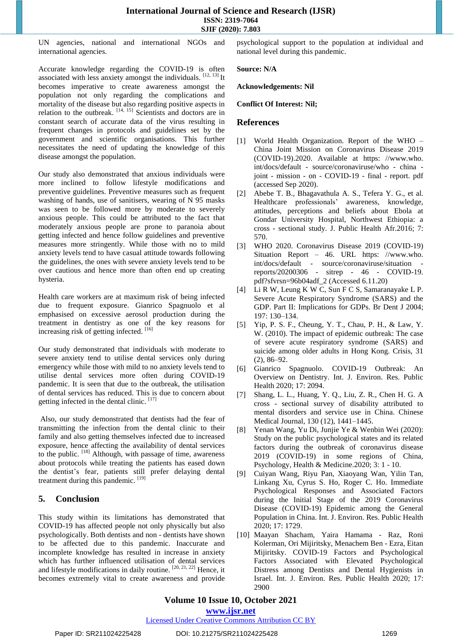## **International Journal of Science and Research (IJSR) ISSN: 2319-7064 SJIF (2020): 7.803**

UN agencies, national and international NGOs and international agencies.

Accurate knowledge regarding the COVID-19 is often associated with less anxiety amongst the individuals.  $[12, 13]$  It becomes imperative to create awareness amongst the population not only regarding the complications and mortality of the disease but also regarding positive aspects in relation to the outbreak.  $[14, 15]$  Scientists and doctors are in constant search of accurate data of the virus resulting in frequent changes in protocols and guidelines set by the government and scientific organisations. This further necessitates the need of updating the knowledge of this disease amongst the population.

Our study also demonstrated that anxious individuals were more inclined to follow lifestyle modifications and preventive guidelines. Preventive measures such as frequent washing of hands, use of sanitisers, wearing of N 95 masks was seen to be followed more by moderate to severely anxious people. This could be attributed to the fact that moderately anxious people are prone to paranoia about getting infected and hence follow guidelines and preventive measures more stringently. While those with no to mild anxiety levels tend to have casual attitude towards following the guidelines, the ones with severe anxiety levels tend to be over cautious and hence more than often end up creating hysteria.

Health care workers are at maximum risk of being infected due to frequent exposure. Gianrico Spagnuolo et al emphasised on excessive aerosol production during the treatment in dentistry as one of the key reasons for increasing risk of getting infected. [16]

Our study demonstrated that individuals with moderate to severe anxiety tend to utilise dental services only during emergency while those with mild to no anxiety levels tend to utilise dental services more often during COVID-19 pandemic. It is seen that due to the outbreak, the utilisation of dental services has reduced. This is due to concern about getting infected in the dental clinic. [17]

Also, our study demonstrated that dentists had the fear of transmitting the infection from the dental clinic to their family and also getting themselves infected due to increased exposure, hence affecting the availability of dental services to the public. <sup>[18]</sup> Although, with passage of time, awareness about protocols while treating the patients has eased down the dentist's fear, patients still prefer delaying dental treatment during this pandemic. [19]

# **5. Conclusion**

This study within its limitations has demonstrated that COVID-19 has affected people not only physically but also psychologically. Both dentists and non - dentists have shown to be affected due to this pandemic. Inaccurate and incomplete knowledge has resulted in increase in anxiety which has further influenced utilisation of dental services and lifestyle modifications in daily routine.  $[20, 21, 22]$  Hence, it becomes extremely vital to create awareness and provide

psychological support to the population at individual and national level during this pandemic.

#### **Source: N/A**

**Acknowledgements: Nil**

#### **Conflict Of Interest: Nil;**

## **References**

- [1] World Health Organization. Report of the WHO China Joint Mission on Coronavirus Disease 2019 (COVID-19).2020. Available at https: //www.who. int/docs/default - source/coronaviruse/who - china joint - mission - on - COVID-19 - final - report. pdf (accessed Sep 2020).
- [2] Abebe T. B., Bhagavathula A. S., Tefera Y. G., et al. Healthcare professionals' awareness, knowledge, attitudes, perceptions and beliefs about Ebola at Gondar University Hospital, Northwest Ethiopia: a cross - sectional study. J. Public Health Afr.2016; 7: 570.
- [3] WHO 2020. Coronavirus Disease 2019 (COVID-19) Situation Report – 46. URL https: //www.who. int/docs/default - source/coronaviruse/situation reports/20200306 - sitrep - 46 - COVID-19. pdf?sfvrsn=96b04adf\_2 (Accessed 6.11.20)
- Li R W, Leung K W C, Sun F C S, Samaranayake L P. Severe Acute Respiratory Syndrome (SARS) and the GDP. Part II: Implications for GDPs. Br Dent J 2004; 197: 130–134.
- [5] Yip, P. S. F., Cheung, Y. T., Chau, P. H., & Law, Y. W. (2010). The impact of epidemic outbreak: The case of severe acute respiratory syndrome (SARS) and suicide among older adults in Hong Kong. Crisis, 31 (2), 86–92.
- [6] Gianrico Spagnuolo. COVID-19 Outbreak: An Overview on Dentistry. Int. J. Environ. Res. Public Health 2020; 17: 2094.
- [7] Shang, L. L., Huang, Y. Q., Liu, Z. R., Chen H. G. A cross - sectional survey of disability attributed to mental disorders and service use in China. Chinese Medical Journal, 130 (12), 1441–1445.
- [8] Yenan Wang, Yu Di, Junjie Ye & Wenbin Wei (2020): Study on the public psychological states and its related factors during the outbreak of coronavirus disease 2019 (COVID-19) in some regions of China, Psychology, Health & Medicine.2020; 3: 1 - 10.
- [9] Cuiyan Wang, Riyu Pan, Xiaoyang Wan, Yilin Tan, Linkang Xu, Cyrus S. Ho, Roger C. Ho. Immediate Psychological Responses and Associated Factors during the Initial Stage of the 2019 Coronavirus Disease (COVID-19) Epidemic among the General Population in China. Int. J. Environ. Res. Public Health 2020; 17: 1729.
- [10] Maayan Shacham, Yaira Hamama Raz, Roni Kolerman, Ori Mijiritsky, Menachem Ben - Ezra, Eitan Mijiritsky. COVID-19 Factors and Psychological Factors Associated with Elevated Psychological Distress among Dentists and Dental Hygienists in Israel. Int. J. Environ. Res. Public Health 2020; 17: 2900

# **Volume 10 Issue 10, October 2021**

**www.ijsr.net**

Licensed Under Creative Commons Attribution CC BY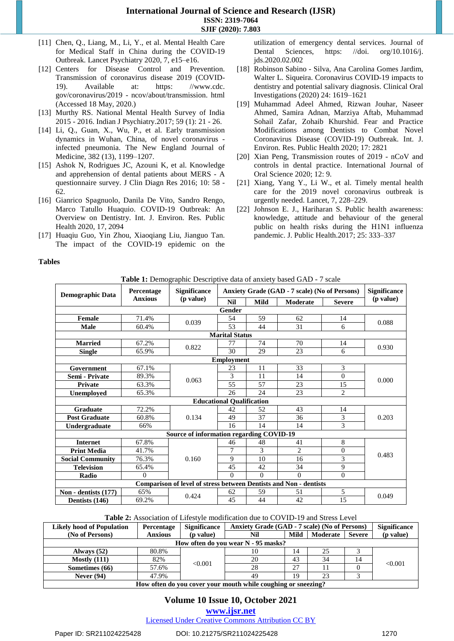- [11] Chen, Q., Liang, M., Li, Y., et al. Mental Health Care for Medical Staff in China during the COVID-19 Outbreak. Lancet Psychiatry 2020, 7, e15–e16.
- [12] Centers for Disease Control and Prevention. Transmission of coronavirus disease 2019 (COVID-19). Available at: https: //www.cdc. gov/coronavirus/2019 - ncov/about/transmission. html (Accessed 18 May, 2020.)
- [13] Murthy RS. National Mental Health Survey of India 2015 - 2016. Indian J Psychiatry.2017; 59 (1): 21 - 26.
- [14] Li, Q., Guan, X., Wu, P., et al. Early transmission dynamics in Wuhan, China, of novel coronavirus infected pneumonia. The New England Journal of Medicine, 382 (13), 1199–1207.
- [15] Ashok N, Rodrigues JC, Azouni K, et al. Knowledge and apprehension of dental patients about MERS - A questionnaire survey. J Clin Diagn Res 2016; 10: 58 - 62.
- [16] Gianrico Spagnuolo, Danila De Vito, Sandro Rengo, Marco Tatullo Huaquio. COVID-19 Outbreak: An Overview on Dentistry. Int. J. Environ. Res. Public Health 2020, 17, 2094
- [17] Huaqiu Guo, Yin Zhou, Xiaoqiang Liu, Jianguo Tan. The impact of the COVID-19 epidemic on the

utilization of emergency dental services. Journal of Dental Sciences, [https: //doi. org/10.1016/j.](https://doi.org/10.1016/j.jds.2020.02.002)  [jds.2020.02.002](https://doi.org/10.1016/j.jds.2020.02.002)

- [18] Robinson Sabino Silva, Ana Carolina Gomes Jardim, Walter L. Siqueira. Coronavirus COVID-19 impacts to dentistry and potential salivary diagnosis. Clinical Oral Investigations (2020) 24: 1619–1621
- [19] Muhammad Adeel Ahmed, Rizwan Jouhar, Naseer Ahmed, Samira Adnan, Marziya Aftab, Muhammad Sohail Zafar, Zohaib Khurshid. Fear and Practice Modifications among Dentists to Combat Novel Coronavirus Disease (COVID-19) Outbreak. Int. J. Environ. Res. Public Health 2020; 17: 2821
- [20] Xian Peng, Transmission routes of 2019 nCoV and controls in dental practice. International Journal of Oral Science 2020; 12: 9.
- [21] Xiang, Yang Y., Li W., et al. Timely mental health care for the 2019 novel coronavirus outbreak is urgently needed. Lancet, 7, 228–229.
- [22] Johnson E. J., Hariharan S. Public health awareness: knowledge, attitude and behaviour of the general public on health risks during the H1N1 influenza pandemic. J. Public Health.2017; 25: 333–337

#### **Tables**

| Table 1: Demographic Descriptive data of anxiety based GAD - 7 scale |  |  |
|----------------------------------------------------------------------|--|--|
|                                                                      |  |  |

|                         | wore in Bennographie Bescriptive data or anniery based STIB 77 Search<br>Percentage | <b>Significance</b>                                                      | Anxiety Grade (GAD - 7 scale) (No of Persons) |             |                |                | Significance      |
|-------------------------|-------------------------------------------------------------------------------------|--------------------------------------------------------------------------|-----------------------------------------------|-------------|----------------|----------------|-------------------|
| <b>Demographic Data</b> | <b>Anxious</b>                                                                      | ( <i>p</i> value)                                                        | <b>Nil</b>                                    | <b>Mild</b> | Moderate       | <b>Severe</b>  | ( <i>p</i> value) |
|                         |                                                                                     |                                                                          | Gender                                        |             |                |                |                   |
| Female                  | 71.4%                                                                               | 0.039                                                                    | 54                                            | 59          | 62             | 14             | 0.088             |
| <b>Male</b>             | 60.4%                                                                               |                                                                          | 53                                            | 44          | 31             | 6              |                   |
|                         |                                                                                     |                                                                          | <b>Marital Status</b>                         |             |                |                |                   |
| <b>Married</b>          | 67.2%                                                                               | 0.822                                                                    | 77                                            | 74          | 70             | 14             | 0.930             |
| <b>Single</b>           | 65.9%                                                                               |                                                                          | 30                                            | 29          | 23             | 6              |                   |
|                         |                                                                                     |                                                                          | <b>Employment</b>                             |             |                |                |                   |
| Government              | 67.1%                                                                               |                                                                          | 23                                            | 11          | 33             | 3              |                   |
| Semi - Private          | 89.3%                                                                               | 0.063                                                                    | 3                                             | 11          | 14             | $\Omega$       | 0.000             |
| Private                 | 63.3%                                                                               |                                                                          | 55                                            | 57          | 23             | 15             |                   |
| Unemployed              | 65.3%                                                                               |                                                                          | 26                                            | 24          | 23             | $\overline{2}$ |                   |
|                         |                                                                                     |                                                                          | <b>Educational Qualification</b>              |             |                |                |                   |
| <b>Graduate</b>         | 72.2%                                                                               |                                                                          | 42                                            | 52          | 43             | 14             |                   |
| <b>Post Graduate</b>    | 60.8%                                                                               | 0.134                                                                    | 49                                            | 37          | 36             | 3              | 0.203             |
| Undergraduate           | 66%                                                                                 |                                                                          | 16                                            | 14          | 14             | 3              |                   |
|                         |                                                                                     | Source of information regarding COVID-19                                 |                                               |             |                |                |                   |
| <b>Internet</b>         | 67.8%                                                                               |                                                                          | 46                                            | 48          | 41             | 8              |                   |
| <b>Print Media</b>      | 41.7%                                                                               |                                                                          | $\tau$                                        | 3           | $\overline{c}$ | $\Omega$       | 0.483             |
| <b>Social Community</b> | 76.3%                                                                               | 0.160                                                                    | 9                                             | 10          | 16             | 3              |                   |
| <b>Television</b>       | 65.4%                                                                               |                                                                          | 45                                            | 42          | 34             | 9              |                   |
| Radio                   | $\Omega$                                                                            |                                                                          | $\Omega$                                      | $\Omega$    | $\Omega$       | $\Omega$       |                   |
|                         |                                                                                     | <b>Comparison of level of stress between Dentists and Non - dentists</b> |                                               |             |                |                |                   |
| Non - dentists (177)    | 65%                                                                                 | 0.424                                                                    | 62                                            | 59          | 51             | 5              | 0.049             |
| Dentists (146)          | 69.2%                                                                               |                                                                          | 45                                            | 44          | 42             | 15             |                   |

**Table 2:** Association of Lifestyle modification due to COVID-19 and Stress Level

| <b>Likely hood of Population</b>                              | <b>Percentage</b> | <b>Significance</b> | Anxiety Grade (GAD - 7 scale) (No of Persons) |      |          |               | <b>Significance</b> |
|---------------------------------------------------------------|-------------------|---------------------|-----------------------------------------------|------|----------|---------------|---------------------|
| (No of Persons)                                               | <b>Anxious</b>    | ( <i>p</i> value)   | Nil                                           | Mild | Moderate | <b>Severe</b> | (p value)           |
| How often do you wear N - 95 masks?                           |                   |                     |                                               |      |          |               |                     |
| Always $(52)$                                                 | 80.8%             |                     | 10                                            | 14   | 25       |               |                     |
| Mostly $(111)$                                                | 82%               | < 0.001             | 20                                            | 43   | 34       | 14            | < 0.001             |
| Sometimes (66)                                                | 57.6%             |                     | 28                                            | 27   |          |               |                     |
| Never $(94)$                                                  | 47.9%             |                     | 49                                            | 19   | 23       |               |                     |
| How often do you cover your mouth while coughing or sneezing? |                   |                     |                                               |      |          |               |                     |

# **Volume 10 Issue 10, October 2021**

**www.ijsr.net**

Licensed Under Creative Commons Attribution CC BY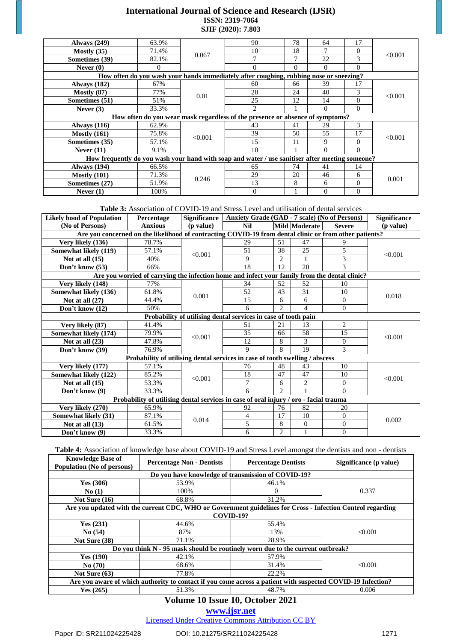# **International Journal of Science and Research (IJSR) ISSN: 2319-7064 SJIF (2020): 7.803**

| <b>Always</b> (249)                                                                             | 63.9%    |         | 90                                                                                     | 78       | 64       | 17       |         |
|-------------------------------------------------------------------------------------------------|----------|---------|----------------------------------------------------------------------------------------|----------|----------|----------|---------|
| Mostly $(35)$                                                                                   | 71.4%    | 0.067   | 10                                                                                     | 18       |          | $\Omega$ | < 0.001 |
| Sometimes (39)                                                                                  | 82.1%    |         |                                                                                        | 7        | 22       | 3        |         |
| Never $(0)$                                                                                     | $\theta$ |         | 0                                                                                      | $\Omega$ | $\Omega$ | $\Omega$ |         |
|                                                                                                 |          |         | How often do you wash your hands immediately after coughing, rubbing nose or sneezing? |          |          |          |         |
| <b>Always</b> (182)                                                                             | 67%      |         | 60                                                                                     | 66       | 39       | 17       |         |
| Mostly $(87)$                                                                                   | 77%      | 0.01    | 20                                                                                     | 24       | 40       | 3        | < 0.001 |
| Sometimes (51)                                                                                  | 51%      |         | 25                                                                                     | 12       | 14       | $\Omega$ |         |
| Never $(3)$                                                                                     | 33.3%    |         | $\mathfrak{D}$                                                                         |          | $\Omega$ | $\Omega$ |         |
|                                                                                                 |          |         | How often do you wear mask regardless of the presence or absence of symptoms?          |          |          |          |         |
| Always $(116)$                                                                                  | 62.9%    |         | 43                                                                                     | 41       | 29       | 3        |         |
| Mostly $(161)$                                                                                  | 75.8%    | < 0.001 | 39                                                                                     | 50       | 55       | 17       | < 0.001 |
| Sometimes (35)                                                                                  | 57.1%    |         | 15                                                                                     | 11       | 9        | $\Omega$ |         |
| Never $(11)$                                                                                    | 9.1%     |         | 10                                                                                     |          | $\Omega$ | $\Omega$ |         |
| How frequently do you wash your hand with soap and water / use sanitiser after meeting someone? |          |         |                                                                                        |          |          |          |         |
| <b>Always</b> (194)                                                                             | 66.5%    |         | 65                                                                                     | 74       | 41       | 14       |         |
| Mostly $(101)$                                                                                  | 71.3%    | 0.246   | 29                                                                                     | 20       | 46       | 6        | 0.001   |
| Sometimes (27)                                                                                  | 51.9%    |         | 13                                                                                     | 8        | 6        | $\Omega$ |         |
| Never $(1)$                                                                                     | 100%     |         | $\Omega$                                                                               |          | $\Omega$ | $\Omega$ |         |

**Table 3:** Association of COVID-19 and Stress Level and utilisation of dental services

| <b>Likely hood of Population</b>                                                      | Percentage                                                                                             | <b>Significance</b> | Anxiety Grade (GAD - 7 scale) (No of Persons)                  |                        |                |                | <b>Significance</b> |
|---------------------------------------------------------------------------------------|--------------------------------------------------------------------------------------------------------|---------------------|----------------------------------------------------------------|------------------------|----------------|----------------|---------------------|
| (No of Persons)                                                                       | <b>Anxious</b>                                                                                         | ( <i>p</i> value)   | <b>Nil</b>                                                     |                        | Mild Moderate  | <b>Severe</b>  | (p value)           |
|                                                                                       | Are you concerned on the likelihood of contracting COVID-19 from dental clinic or from other patients? |                     |                                                                |                        |                |                |                     |
| Very likely (136)                                                                     | 78.7%                                                                                                  |                     | 29                                                             | 51                     | 47             | 9              |                     |
| Somewhat likely (119)                                                                 | 57.1%                                                                                                  | < 0.001             | 51                                                             | 38                     | 25             | 5              | < 0.001             |
| Not at all $(15)$                                                                     | 40%                                                                                                    |                     | 9                                                              | $\overline{2}$         |                | 3              |                     |
| Don't know (53)                                                                       | 66%                                                                                                    |                     | 18                                                             | 12                     | 20             | $\mathcal{E}$  |                     |
|                                                                                       | Are you worried of carrying the infection home and infect your family from the dental clinic?          |                     |                                                                |                        |                |                |                     |
| Very likely (148)                                                                     | 77%                                                                                                    |                     | 34                                                             | 52                     | 52             | 10             |                     |
| Somewhat likely (136)                                                                 | 61.8%                                                                                                  | 0.001               | 52                                                             | 43                     | 31             | 10             | 0.018               |
| Not at all $(27)$                                                                     | 44.4%                                                                                                  |                     | 15                                                             | 6                      | 6              | $\Omega$       |                     |
| Don't know (12)                                                                       | 50%                                                                                                    |                     | 6                                                              | $\mathfrak{D}$         | 4              | $\mathbf{0}$   |                     |
|                                                                                       |                                                                                                        |                     | Probability of utilising dental services in case of tooth pain |                        |                |                |                     |
| Very likely (87)                                                                      | 41.4%                                                                                                  |                     | 51                                                             | 21                     | 13             | $\overline{2}$ |                     |
| Somewhat likely (174)                                                                 | 79.9%                                                                                                  | < 0.001             | 35                                                             | 66                     | 58             | 15             | < 0.001             |
| Not at all $(23)$                                                                     | 47.8%                                                                                                  |                     | 12                                                             | 8                      | 3              | $\Omega$       |                     |
| Don't know (39)                                                                       | 76.9%                                                                                                  |                     | 9                                                              | 8                      | 19             | 3              |                     |
|                                                                                       | Probability of utilising dental services in case of tooth swelling / abscess                           |                     |                                                                |                        |                |                |                     |
| Very likely (177)                                                                     | 57.1%                                                                                                  |                     | 76                                                             | 48                     | 43             | 10             |                     |
| Somewhat likely (122)                                                                 | 85.2%                                                                                                  | < 0.001             | 18                                                             | 47                     | 47             | 10             | < 0.001             |
| Not at all $(15)$                                                                     | 53.3%                                                                                                  |                     | 7                                                              | 6                      | $\mathbf{2}$   | $\overline{0}$ |                     |
| Don't know (9)                                                                        | 33.3%                                                                                                  |                     | 6                                                              | $\mathcal{D}_{\alpha}$ | 1              | $\Omega$       |                     |
| Probability of utilising dental services in case of oral injury / oro - facial trauma |                                                                                                        |                     |                                                                |                        |                |                |                     |
| Very likely (270)                                                                     | 65.9%                                                                                                  |                     | 92                                                             | 76                     | 82             | 20             |                     |
| Somewhat likely (31)                                                                  | 87.1%                                                                                                  | 0.014               | 4                                                              | 17                     | 10             | $\Omega$       | 0.002               |
| Not at all $(13)$                                                                     | 61.5%                                                                                                  |                     | 5                                                              | 8                      | $\overline{0}$ | $\overline{0}$ |                     |
| Don't know (9)                                                                        | 33.3%                                                                                                  |                     | 6                                                              | $\overline{c}$         | 1              | $\mathbf{0}$   |                     |

**Table 4:** Association of knowledge base about COVID-19 and Stress Level amongst the dentists and non - dentists

| <b>Knowledge Base of</b><br>Population (No of persons) | <b>Percentage Non - Dentists</b>                                                                            | <b>Percentage Dentists</b> | Significance (p value) |  |  |  |  |  |  |  |
|--------------------------------------------------------|-------------------------------------------------------------------------------------------------------------|----------------------------|------------------------|--|--|--|--|--|--|--|
|                                                        | Do you have knowledge of transmission of COVID-19?                                                          |                            |                        |  |  |  |  |  |  |  |
| Yes $(306)$                                            | 53.9%                                                                                                       | 46.1%                      |                        |  |  |  |  |  |  |  |
| No(1)                                                  | 100%                                                                                                        | $\theta$                   | 0.337                  |  |  |  |  |  |  |  |
| Not Sure $(16)$                                        | 68.8%                                                                                                       | 31.2%                      |                        |  |  |  |  |  |  |  |
|                                                        | Are you updated with the current CDC, WHO or Government guidelines for Cross - Infection Control regarding  |                            |                        |  |  |  |  |  |  |  |
|                                                        | <b>COVID-19?</b>                                                                                            |                            |                        |  |  |  |  |  |  |  |
| Yes $(231)$                                            | 44.6%                                                                                                       | 55.4%                      |                        |  |  |  |  |  |  |  |
| No(54)                                                 | 87%                                                                                                         | 13%                        | < 0.001                |  |  |  |  |  |  |  |
| Not Sure (38)                                          | 71.1%                                                                                                       | 28.9%                      |                        |  |  |  |  |  |  |  |
|                                                        | Do you think N - 95 mask should be routinely worn due to the current outbreak?                              |                            |                        |  |  |  |  |  |  |  |
| Yes(190)                                               | 42.1%                                                                                                       | 57.9%                      |                        |  |  |  |  |  |  |  |
| No(70)                                                 | 68.6%                                                                                                       | 31.4%                      | < 0.001                |  |  |  |  |  |  |  |
| Not Sure $(63)$                                        | 77.8%                                                                                                       | 22.2%                      |                        |  |  |  |  |  |  |  |
|                                                        | Are you aware of which authority to contact if you come across a patient with suspected COVID-19 Infection? |                            |                        |  |  |  |  |  |  |  |
| Yes $(265)$                                            | 51.3%                                                                                                       | 48.7%                      | 0.006                  |  |  |  |  |  |  |  |

# **Volume 10 Issue 10, October 2021**

**www.ijsr.net**

Licensed Under Creative Commons Attribution CC BY